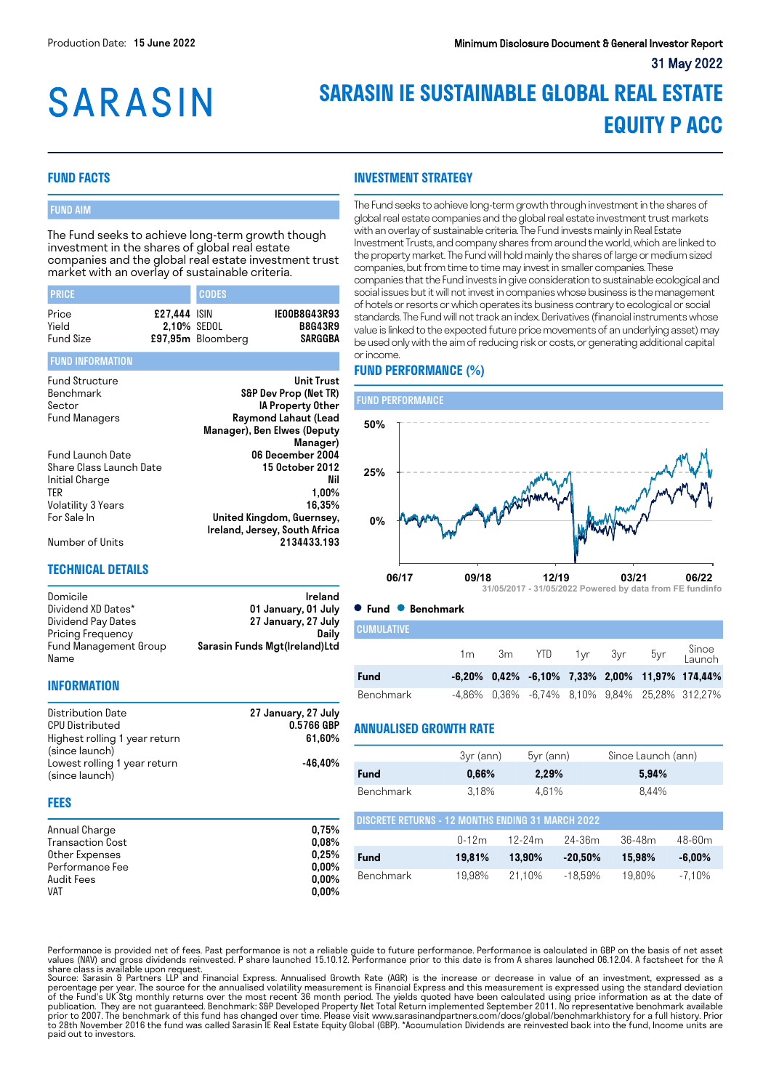# **SARASIN**

# **SARASIN IE SUSTAINABLE GLOBAL REAL ESTATE EQUITY P ACC**

# **FUND FACTS**

## FUND AIM

The Fund seeks to achieve long-term growth though investment in the shares of global real estate companies and the global real estate investment trust market with an overlay of sustainable criteria.

| <b>PRICE</b>                       |                             | <b>CODES</b>      |                                           |
|------------------------------------|-----------------------------|-------------------|-------------------------------------------|
| Price<br>Yield<br><b>Fund Size</b> | £27.444 ISIN<br>2.10% SEDOL | £97,95m Bloomberg | IE00B8G43R93<br><b>B8G43R9</b><br>SARGGBA |

#### FUND INFORMATION

| <b>Fund Structure</b>   | <b>Unit Trust</b>             |
|-------------------------|-------------------------------|
| Benchmark               | S&P Dev Prop (Net TR)         |
| Sector                  | IA Property Other             |
| <b>Fund Managers</b>    | Raymond Lahaut (Lead          |
|                         | Manager), Ben Elwes (Deputy   |
|                         | Manager)                      |
| Fund Launch Date        | 06 December 2004              |
| Share Class Launch Date | 15 0ctober 2012               |
| Initial Charge          | Nil                           |
| ter                     | $1,00\%$                      |
| Volatility 3 Years      | 16.35%                        |
| For Sale In             | United Kingdom, Guernsey,     |
|                         | Ireland, Jersey, South Africa |
| Number of Units         | 2134433.193                   |

#### **TECHNICAL DETAILS**

Domicile **Ireland** Dividend XD Dates\* 01 January, 01 July<br>Dividend Pay Dates 27 January, 27 July 27 January, 27 July<br>Daily Pricing Frequency Fund Management Group Name Sarasin Funds Mgt(Ireland)Ltd

#### **INFORMATION**

| Distribution Date             | 27 January, 27 July |
|-------------------------------|---------------------|
| <b>CPU Distributed</b>        | 0.5766 GBP          |
| Highest rolling 1 year return | 61.60%              |
| (since launch)                |                     |
| Lowest rolling 1 year return  | -46.40%             |
| (since launch)                |                     |

#### **FEES**

| Annual Charge           | 0.75%    |
|-------------------------|----------|
| <b>Transaction Cost</b> | 0.08%    |
| Other Expenses          | 0.25%    |
| Performance Fee         | $0.00\%$ |
| Audit Fees              | $0.00\%$ |
| <b>VAT</b>              | $0.00\%$ |

The Fund seeks to achieve long-term growth through investment in the shares of global real estate companies and the global real estate investment trust markets with an overlay of sustainable criteria. The Fund invests mainly in Real Estate Investment Trusts, and company shares from around the world, which are linked to the property market. The Fund will hold mainly the shares of large or medium sized companies, but from time to time may invest in smaller companies. These companies that the Fund invests in give consideration to sustainable ecological and social issues but it will not invest in companies whose business is the management of hotels or resorts or which operates its business contrary to ecological or social standards. The Fund will not track an index. Derivatives (financial instruments whose value is linked to the expected future price movements of an underlying asset) may be used only with the aim of reducing risk or costs, or generating additional capital or income.

# **FUND PERFORMANCE (%)**

**INVESTMENT STRATEGY**



**Fund Benchmark**

| <b>CUMULATIVE</b> |                |                    |  |                                                      |
|-------------------|----------------|--------------------|--|------------------------------------------------------|
|                   | 1 <sub>m</sub> | 3m YTD 1yr 3yr 5yr |  | Since<br>Launch                                      |
| <b>Fund</b>       |                |                    |  | $-6,20\%$ 0,42% $-6,10\%$ 7,33% 2,00% 11,97% 174,44% |
| Benchmark         |                |                    |  | -4,86% 0,36% -6,74% 8,10% 9,84% 25,28% 312,27%       |

#### **ANNUALISED GROWTH RATE**

|                                                          | 3yr (ann) | $5yr$ (ann) |            | Since Launch (ann) |            |  |
|----------------------------------------------------------|-----------|-------------|------------|--------------------|------------|--|
| Fund                                                     | 0,66%     | 2,29%       |            | 5,94%              |            |  |
| Benchmark                                                | 3.18%     | 4.61%       |            | 8.44%              |            |  |
| <b>DISCRETE RETURNS - 12 MONTHS ENDING 31 MARCH 2022</b> |           |             |            |                    |            |  |
|                                                          | $0 - 12m$ | $12-24m$    | $24 - 36m$ | $36-48m$           | $48 - 60m$ |  |
| Fund                                                     | 19,81%    | 13.90%      | $-20,50%$  | 15.98%             | $-6.00%$   |  |
| <b>Benchmark</b>                                         | 19.98%    | 21.10%      | $-18.59%$  | 19.80%             | $-7.10%$   |  |

Performance is provided net of fees. Past performance is not a reliable guide to future performance. Performance is calculated in GBP on the basis of net asset<br>share class is available upon request.<br>share class is availabl

of the Fund's UK Stg monthly returns over the most recent 36 month period. The yields quoted have been calculated using price information as at the date of<br>publication. They are not guaranteed. Benchmark: S&P Developed Pro paid out to investors.